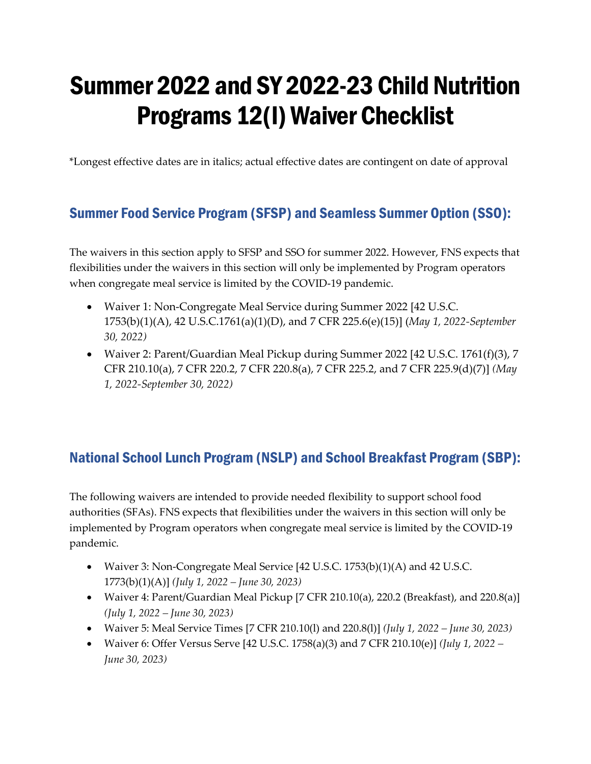# Summer 2022 and SY 2022-23 Child Nutrition Programs 12(l) Waiver Checklist

\*Longest effective dates are in italics; actual effective dates are contingent on date of approval

# Summer Food Service Program (SFSP) and Seamless Summer Option (SSO):

The waivers in this section apply to SFSP and SSO for summer 2022. However, FNS expects that flexibilities under the waivers in this section will only be implemented by Program operators when congregate meal service is limited by the COVID-19 pandemic.

- Waiver 1: Non-Congregate Meal Service during Summer 2022 [42 U.S.C. 1753(b)(1)(A), 42 U.S.C.1761(a)(1)(D), and 7 CFR 225.6(e)(15)] (*May 1, 2022-September 30, 2022)*
- Waiver 2: Parent/Guardian Meal Pickup during Summer 2022 [42 U.S.C. 1761(f)(3), 7 CFR 210.10(a), 7 CFR 220.2, 7 CFR 220.8(a), 7 CFR 225.2, and 7 CFR 225.9(d)(7)] *(May 1, 2022-September 30, 2022)*

## National School Lunch Program (NSLP) and School Breakfast Program (SBP):

The following waivers are intended to provide needed flexibility to support school food authorities (SFAs). FNS expects that flexibilities under the waivers in this section will only be implemented by Program operators when congregate meal service is limited by the COVID-19 pandemic.

- Waiver 3: Non-Congregate Meal Service [42 U.S.C. 1753(b)(1)(A) and 42 U.S.C. 1773(b)(1)(A)] *(July 1, 2022 – June 30, 2023)*
- Waiver 4: Parent/Guardian Meal Pickup [7 CFR 210.10(a), 220.2 (Breakfast), and 220.8(a)] *(July 1, 2022 – June 30, 2023)*
- Waiver 5: Meal Service Times [7 CFR 210.10(l) and 220.8(l)] *(July 1, 2022 June 30, 2023)*
- Waiver 6: Offer Versus Serve [42 U.S.C. 1758(a)(3) and 7 CFR 210.10(e)] *(July 1, 2022 June 30, 2023)*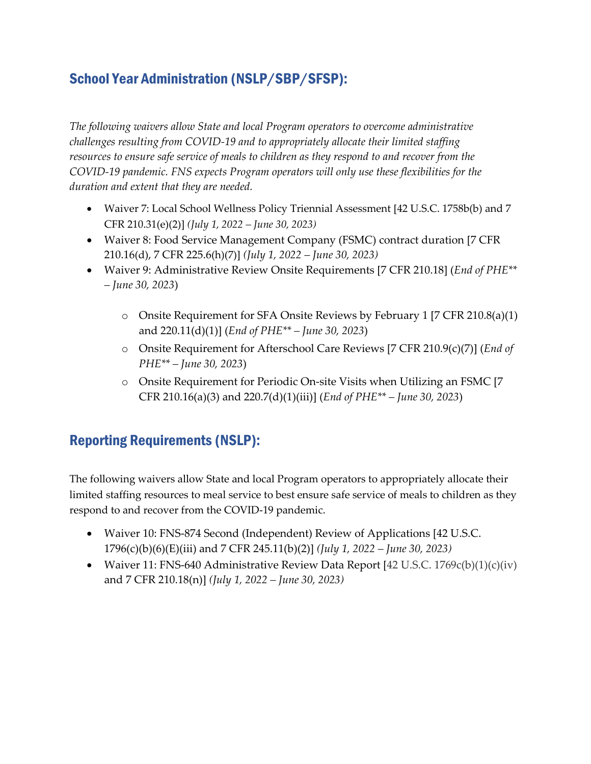## School Year Administration (NSLP/SBP/SFSP):

*The following waivers allow State and local Program operators to overcome administrative challenges resulting from COVID-19 and to appropriately allocate their limited staffing resources to ensure safe service of meals to children as they respond to and recover from the COVID-19 pandemic. FNS expects Program operators will only use these flexibilities for the duration and extent that they are needed.* 

- Waiver 7: Local School Wellness Policy Triennial Assessment [42 U.S.C. 1758b(b) and 7 CFR 210.31(e)(2)] *(July 1, 2022 – June 30, 2023)*
- Waiver 8: Food Service Management Company (FSMC) contract duration [7 CFR 210.16(d), 7 CFR 225.6(h)(7)] *(July 1, 2022 – June 30, 2023)*
- Waiver 9: Administrative Review Onsite Requirements [7 CFR 210.18] (*End of PHE\*\* – June 30, 2023*)
	- o Onsite Requirement for SFA Onsite Reviews by February 1 [7 CFR 210.8(a)(1) and 220.11(d)(1)] (*End of PHE\*\* – June 30, 2023*)
	- o Onsite Requirement for Afterschool Care Reviews [7 CFR 210.9(c)(7)] (*End of PHE\*\* – June 30, 2023*)
	- o Onsite Requirement for Periodic On-site Visits when Utilizing an FSMC [7 CFR 210.16(a)(3) and 220.7(d)(1)(iii)] (*End of PHE\*\* – June 30, 2023*)

#### Reporting Requirements (NSLP):

The following waivers allow State and local Program operators to appropriately allocate their limited staffing resources to meal service to best ensure safe service of meals to children as they respond to and recover from the COVID-19 pandemic.

- Waiver 10: FNS-874 Second (Independent) Review of Applications [42 U.S.C. 1796(c)(b)(6)(E)(iii) and 7 CFR 245.11(b)(2)] *(July 1, 2022 – June 30, 2023)*
- Waiver 11: FNS-640 Administrative Review Data Report [42 U.S.C. 1769c(b)(1)(c)(iv) and 7 CFR 210.18(n)] *(July 1, 2022 – June 30, 2023)*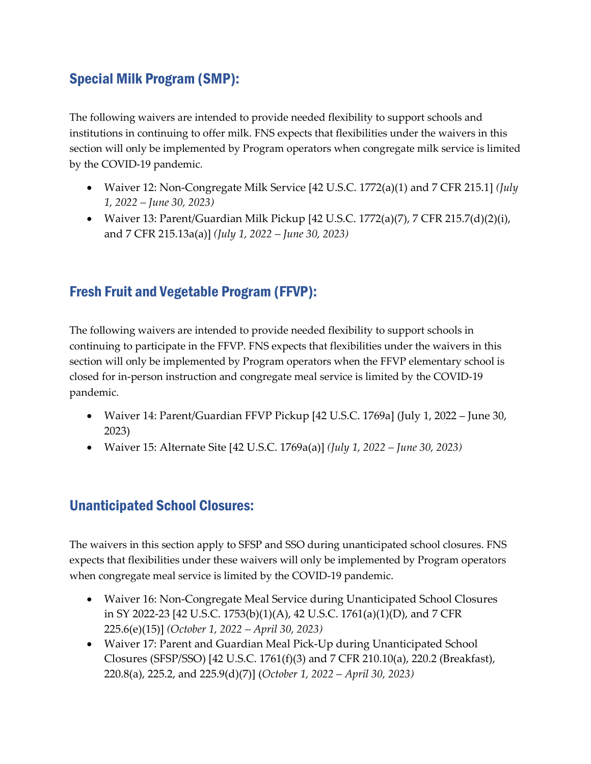#### Special Milk Program (SMP):

The following waivers are intended to provide needed flexibility to support schools and institutions in continuing to offer milk. FNS expects that flexibilities under the waivers in this section will only be implemented by Program operators when congregate milk service is limited by the COVID-19 pandemic.

- Waiver 12: Non-Congregate Milk Service [42 U.S.C. 1772(a)(1) and 7 CFR 215.1] *(July 1, 2022 – June 30, 2023)*
- Waiver 13: Parent/Guardian Milk Pickup [42 U.S.C. 1772(a)(7), 7 CFR 215.7(d)(2)(i), and 7 CFR 215.13a(a)] *(July 1, 2022 – June 30, 2023)*

### Fresh Fruit and Vegetable Program (FFVP):

The following waivers are intended to provide needed flexibility to support schools in continuing to participate in the FFVP. FNS expects that flexibilities under the waivers in this section will only be implemented by Program operators when the FFVP elementary school is closed for in-person instruction and congregate meal service is limited by the COVID-19 pandemic.

- Waiver 14: Parent/Guardian FFVP Pickup [42 U.S.C. 1769a] (July 1, 2022 June 30, 2023)
- Waiver 15: Alternate Site [42 U.S.C. 1769a(a)] *(July 1, 2022 June 30, 2023)*

#### Unanticipated School Closures:

The waivers in this section apply to SFSP and SSO during unanticipated school closures. FNS expects that flexibilities under these waivers will only be implemented by Program operators when congregate meal service is limited by the COVID-19 pandemic.

- Waiver 16: Non-Congregate Meal Service during Unanticipated School Closures in SY 2022-23 [42 U.S.C. 1753(b)(1)(A), 42 U.S.C. 1761(a)(1)(D), and 7 CFR 225.6(e)(15)] *(October 1, 2022 – April 30, 2023)*
- Waiver 17: Parent and Guardian Meal Pick-Up during Unanticipated School Closures (SFSP/SSO) [42 U.S.C. 1761(f)(3) and 7 CFR 210.10(a), 220.2 (Breakfast), 220.8(a), 225.2, and 225.9(d)(7)] (*October 1, 2022 – April 30, 2023)*